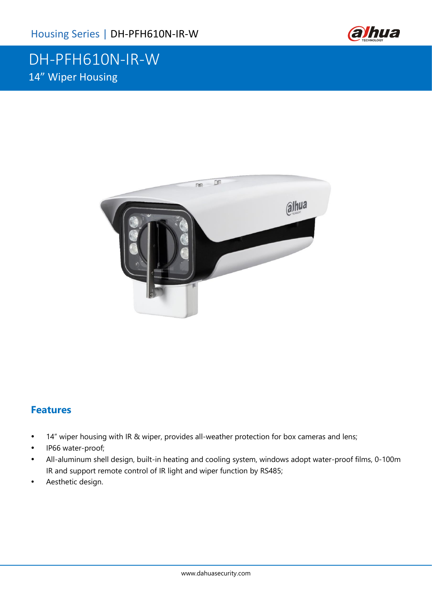

## DH-PFH610N-IR-W 14" Wiper Housing



#### **Features**

- 14" wiper housing with IR & wiper, provides all-weather protection for box cameras and lens;
- IP66 water-proof;
- All-aluminum shell design, built-in heating and cooling system, windows adopt water-proof films, 0-100m IR and support remote control of IR light and wiper function by RS485;
- Aesthetic design.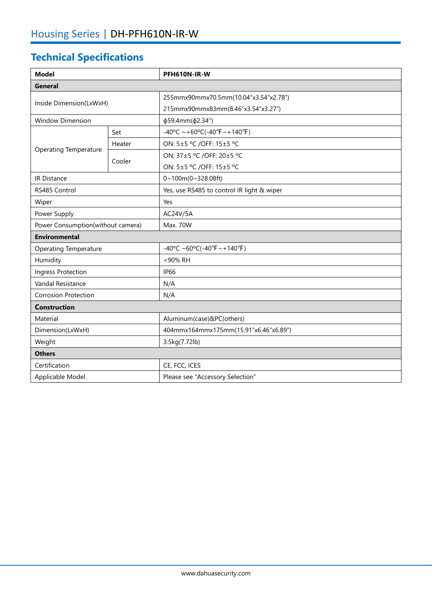# **Technical Specifications**

| <b>Model</b>                      |        | PFH610N-IR-W                                     |  |  |
|-----------------------------------|--------|--------------------------------------------------|--|--|
| <b>General</b>                    |        |                                                  |  |  |
| Inside Dimension(LxWxH)           |        | 255mmx90mmx70.5mm(10.04"x3.54"x2.78")            |  |  |
|                                   |        | 215mmx90mmx83mm(8.46"x3.54"x3.27")               |  |  |
| <b>Window Dimension</b>           |        | φ59.4mm(φ2.34")                                  |  |  |
| <b>Operating Temperature</b>      | Set    | $-40^{\circ}$ C ~ +60°C(-40°F ~ +140°F)          |  |  |
|                                   | Heater | ON: 5±5 °C /OFF: 15±5 °C                         |  |  |
|                                   | Cooler | ON: 37±5 °C /OFF: 20±5 °C                        |  |  |
|                                   |        | ON: 5±5 °C /OFF: 15±5 °C                         |  |  |
| <b>IR Distance</b>                |        | 0~100m(0~328.08ft)                               |  |  |
| RS485 Control                     |        | Yes, use RS485 to control IR light & wiper       |  |  |
| Wiper                             |        | Yes                                              |  |  |
| Power Supply                      |        | AC24V/5A                                         |  |  |
| Power Consumption(without camera) |        | Max. 70W                                         |  |  |
| <b>Environmental</b>              |        |                                                  |  |  |
| <b>Operating Temperature</b>      |        | $-40^{\circ}$ C ~60°C( $-40^{\circ}$ F ~ +140°F) |  |  |
| Humidity                          |        | <90% RH                                          |  |  |
| Ingress Protection                |        | <b>IP66</b>                                      |  |  |
| Vandal Resistance                 |        | N/A                                              |  |  |
| Corrosion Protection              |        | N/A                                              |  |  |
| <b>Construction</b>               |        |                                                  |  |  |
| Material                          |        | Aluminum(case)&PC(others)                        |  |  |
| Dimension(LxWxH)                  |        | 404mmx164mmx175mm(15.91"x6.46"x6.89")            |  |  |
| Weight                            |        | 3.5kg(7.72lb)                                    |  |  |
| <b>Others</b>                     |        |                                                  |  |  |
| Certification                     |        | CE, FCC, ICES                                    |  |  |
| Applicable Model                  |        | Please see "Accessory Selection"                 |  |  |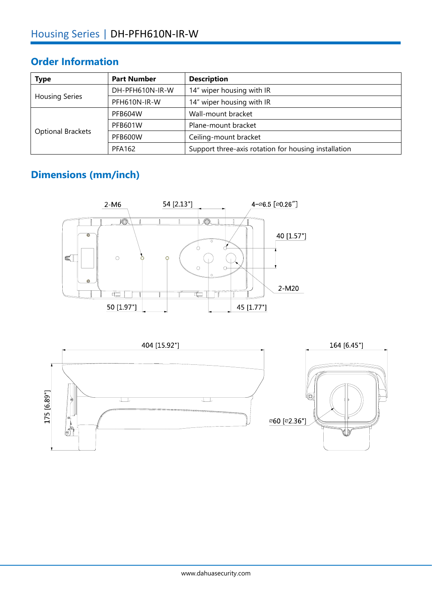#### **Order Information**

| <b>Type</b>              | <b>Part Number</b> | <b>Description</b>                                   |
|--------------------------|--------------------|------------------------------------------------------|
| <b>Housing Series</b>    | DH-PFH610N-IR-W    | 14" wiper housing with IR                            |
|                          | PFH610N-IR-W       | 14" wiper housing with IR                            |
| <b>Optional Brackets</b> | <b>PFB604W</b>     | Wall-mount bracket                                   |
|                          | <b>PFB601W</b>     | Plane-mount bracket                                  |
|                          | PFB600W            | Ceiling-mount bracket                                |
|                          | PFA162             | Support three-axis rotation for housing installation |

### **Dimensions (mm/inch)**